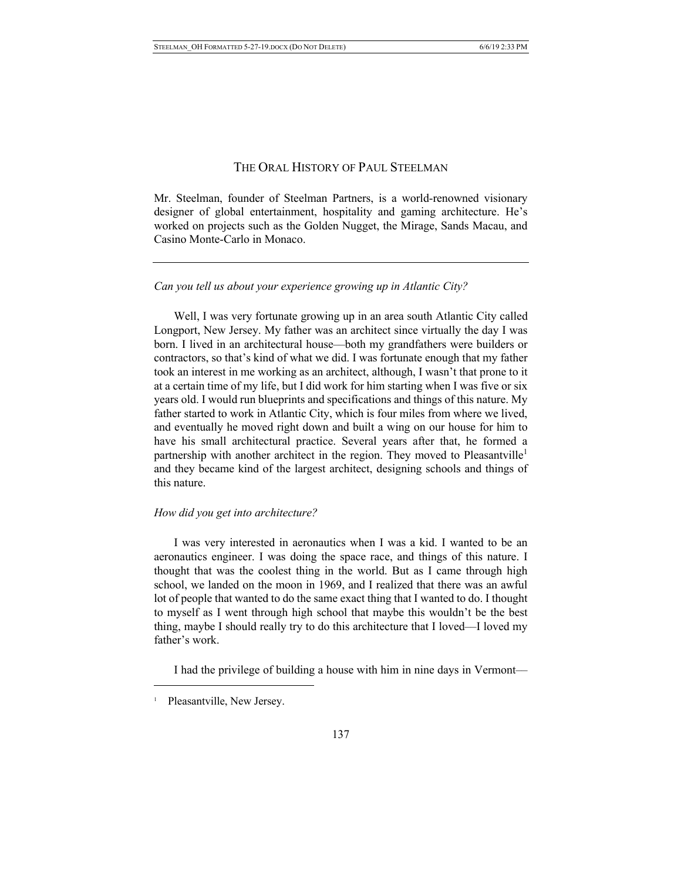## THE ORAL HISTORY OF PAUL STEELMAN

Mr. Steelman, founder of Steelman Partners, is a world-renowned visionary designer of global entertainment, hospitality and gaming architecture. He's worked on projects such as the Golden Nugget, the Mirage, Sands Macau, and Casino Monte-Carlo in Monaco.

#### *Can you tell us about your experience growing up in Atlantic City?*

Well, I was very fortunate growing up in an area south Atlantic City called Longport, New Jersey. My father was an architect since virtually the day I was born. I lived in an architectural house––both my grandfathers were builders or contractors, so that's kind of what we did. I was fortunate enough that my father took an interest in me working as an architect, although, I wasn't that prone to it at a certain time of my life, but I did work for him starting when I was five or six years old. I would run blueprints and specifications and things of this nature. My father started to work in Atlantic City, which is four miles from where we lived, and eventually he moved right down and built a wing on our house for him to have his small architectural practice. Several years after that, he formed a partnership with another architect in the region. They moved to Pleasantville<sup>1</sup> and they became kind of the largest architect, designing schools and things of this nature.

#### *How did you get into architecture?*

I was very interested in aeronautics when I was a kid. I wanted to be an aeronautics engineer. I was doing the space race, and things of this nature. I thought that was the coolest thing in the world. But as I came through high school, we landed on the moon in 1969, and I realized that there was an awful lot of people that wanted to do the same exact thing that I wanted to do. I thought to myself as I went through high school that maybe this wouldn't be the best thing, maybe I should really try to do this architecture that I loved––I loved my father's work.

I had the privilege of building a house with him in nine days in Vermont––

Pleasantville, New Jersey.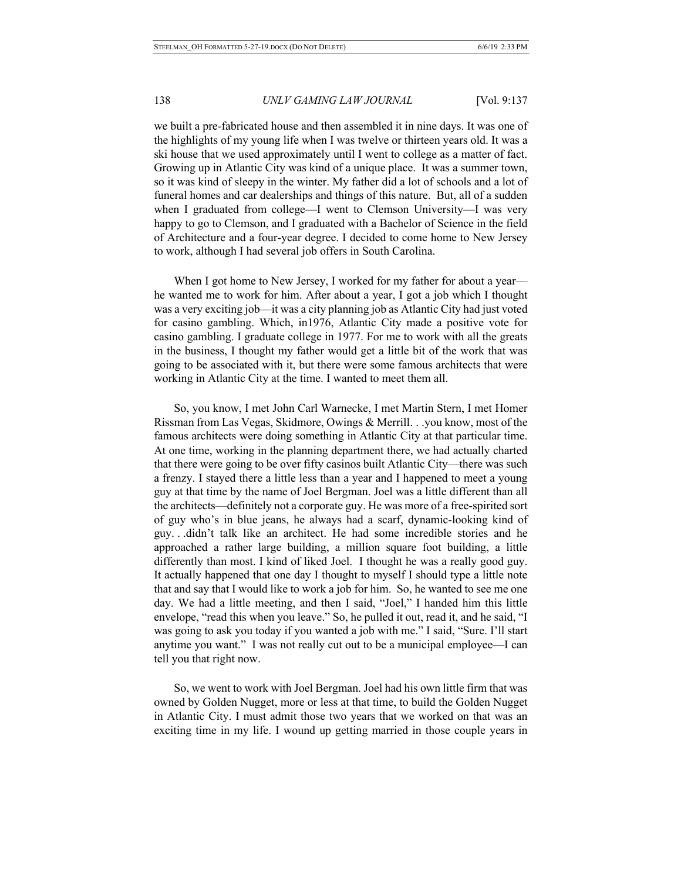# 138 *UNLV GAMING LAW JOURNAL* [Vol. 9:137

we built a pre-fabricated house and then assembled it in nine days. It was one of the highlights of my young life when I was twelve or thirteen years old. It was a ski house that we used approximately until I went to college as a matter of fact. Growing up in Atlantic City was kind of a unique place. It was a summer town, so it was kind of sleepy in the winter. My father did a lot of schools and a lot of funeral homes and car dealerships and things of this nature. But, all of a sudden when I graduated from college—I went to Clemson University—I was very happy to go to Clemson, and I graduated with a Bachelor of Science in the field of Architecture and a four-year degree. I decided to come home to New Jersey to work, although I had several job offers in South Carolina.

When I got home to New Jersey, I worked for my father for about a yearhe wanted me to work for him. After about a year, I got a job which I thought was a very exciting job—it was a city planning job as Atlantic City had just voted for casino gambling. Which, in1976, Atlantic City made a positive vote for casino gambling. I graduate college in 1977. For me to work with all the greats in the business, I thought my father would get a little bit of the work that was going to be associated with it, but there were some famous architects that were working in Atlantic City at the time. I wanted to meet them all.

So, you know, I met John Carl Warnecke, I met Martin Stern, I met Homer Rissman from Las Vegas, Skidmore, Owings & Merrill. . .you know, most of the famous architects were doing something in Atlantic City at that particular time. At one time, working in the planning department there, we had actually charted that there were going to be over fifty casinos built Atlantic City––there was such a frenzy. I stayed there a little less than a year and I happened to meet a young guy at that time by the name of Joel Bergman. Joel was a little different than all the architects––definitely not a corporate guy. He was more of a free-spirited sort of guy who's in blue jeans, he always had a scarf, dynamic-looking kind of guy. . .didn't talk like an architect. He had some incredible stories and he approached a rather large building, a million square foot building, a little differently than most. I kind of liked Joel. I thought he was a really good guy. It actually happened that one day I thought to myself I should type a little note that and say that I would like to work a job for him. So, he wanted to see me one day. We had a little meeting, and then I said, "Joel," I handed him this little envelope, "read this when you leave." So, he pulled it out, read it, and he said, "I was going to ask you today if you wanted a job with me." I said, "Sure. I'll start anytime you want." I was not really cut out to be a municipal employee––I can tell you that right now.

So, we went to work with Joel Bergman. Joel had his own little firm that was owned by Golden Nugget, more or less at that time, to build the Golden Nugget in Atlantic City. I must admit those two years that we worked on that was an exciting time in my life. I wound up getting married in those couple years in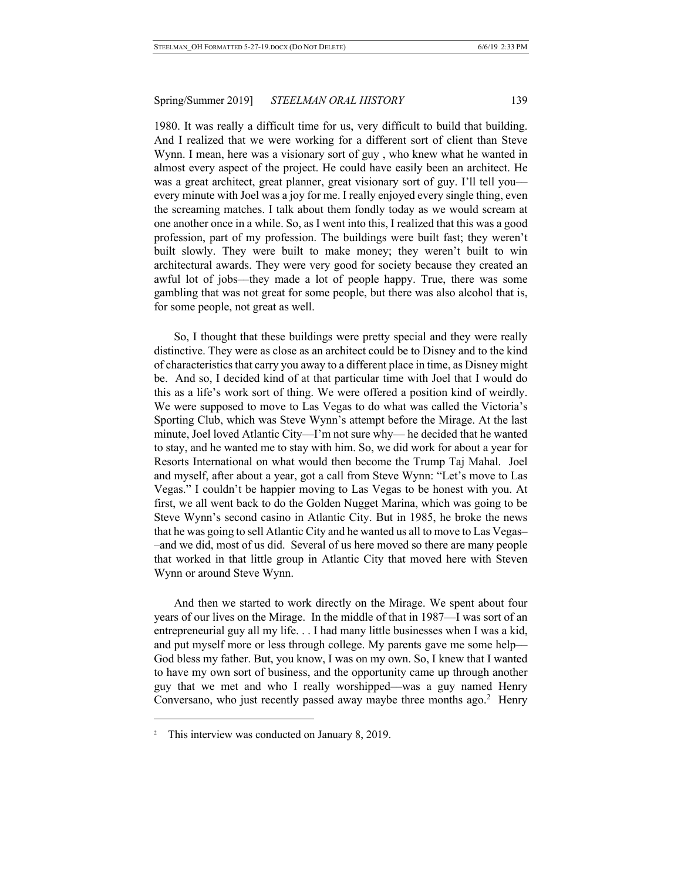1980. It was really a difficult time for us, very difficult to build that building. And I realized that we were working for a different sort of client than Steve Wynn. I mean, here was a visionary sort of guy , who knew what he wanted in almost every aspect of the project. He could have easily been an architect. He was a great architect, great planner, great visionary sort of guy. I'll tell youevery minute with Joel was a joy for me. I really enjoyed every single thing, even the screaming matches. I talk about them fondly today as we would scream at one another once in a while. So, as I went into this, I realized that this was a good profession, part of my profession. The buildings were built fast; they weren't built slowly. They were built to make money; they weren't built to win architectural awards. They were very good for society because they created an awful lot of jobs––they made a lot of people happy. True, there was some gambling that was not great for some people, but there was also alcohol that is, for some people, not great as well.

So, I thought that these buildings were pretty special and they were really distinctive. They were as close as an architect could be to Disney and to the kind of characteristics that carry you away to a different place in time, as Disney might be. And so, I decided kind of at that particular time with Joel that I would do this as a life's work sort of thing. We were offered a position kind of weirdly. We were supposed to move to Las Vegas to do what was called the Victoria's Sporting Club, which was Steve Wynn's attempt before the Mirage. At the last minute, Joel loved Atlantic City––I'm not sure why— he decided that he wanted to stay, and he wanted me to stay with him. So, we did work for about a year for Resorts International on what would then become the Trump Taj Mahal. Joel and myself, after about a year, got a call from Steve Wynn: "Let's move to Las Vegas." I couldn't be happier moving to Las Vegas to be honest with you. At first, we all went back to do the Golden Nugget Marina, which was going to be Steve Wynn's second casino in Atlantic City. But in 1985, he broke the news that he was going to sell Atlantic City and he wanted us all to move to Las Vegas– –and we did, most of us did. Several of us here moved so there are many people that worked in that little group in Atlantic City that moved here with Steven Wynn or around Steve Wynn.

And then we started to work directly on the Mirage. We spent about four years of our lives on the Mirage. In the middle of that in 1987––I was sort of an entrepreneurial guy all my life. . . I had many little businesses when I was a kid, and put myself more or less through college. My parents gave me some help–– God bless my father. But, you know, I was on my own. So, I knew that I wanted to have my own sort of business, and the opportunity came up through another guy that we met and who I really worshipped––was a guy named Henry Conversano, who just recently passed away maybe three months ago. $2$  Henry

<sup>&</sup>lt;sup>2</sup> This interview was conducted on January 8, 2019.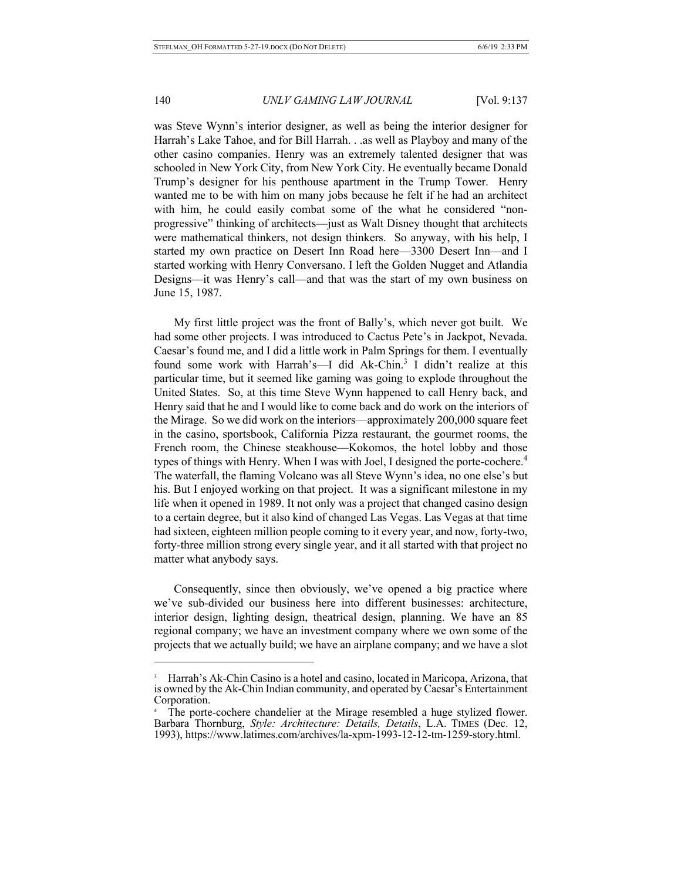$\overline{a}$ 

## 140 *UNLV GAMING LAW JOURNAL* [Vol. 9:137

was Steve Wynn's interior designer, as well as being the interior designer for Harrah's Lake Tahoe, and for Bill Harrah. . .as well as Playboy and many of the other casino companies. Henry was an extremely talented designer that was schooled in New York City, from New York City. He eventually became Donald Trump's designer for his penthouse apartment in the Trump Tower. Henry wanted me to be with him on many jobs because he felt if he had an architect with him, he could easily combat some of the what he considered "nonprogressive" thinking of architects––just as Walt Disney thought that architects were mathematical thinkers, not design thinkers. So anyway, with his help, I started my own practice on Desert Inn Road here––3300 Desert Inn––and I started working with Henry Conversano. I left the Golden Nugget and Atlandia Designs––it was Henry's call––and that was the start of my own business on June 15, 1987.

My first little project was the front of Bally's, which never got built. We had some other projects. I was introduced to Cactus Pete's in Jackpot, Nevada. Caesar's found me, and I did a little work in Palm Springs for them. I eventually found some work with Harrah's—I did Ak-Chin.<sup>3</sup> I didn't realize at this particular time, but it seemed like gaming was going to explode throughout the United States. So, at this time Steve Wynn happened to call Henry back, and Henry said that he and I would like to come back and do work on the interiors of the Mirage. So we did work on the interiors––approximately 200,000 square feet in the casino, sportsbook, California Pizza restaurant, the gourmet rooms, the French room, the Chinese steakhouse––Kokomos, the hotel lobby and those types of things with Henry. When I was with Joel, I designed the porte-cochere. 4 The waterfall, the flaming Volcano was all Steve Wynn's idea, no one else's but his. But I enjoyed working on that project. It was a significant milestone in my life when it opened in 1989. It not only was a project that changed casino design to a certain degree, but it also kind of changed Las Vegas. Las Vegas at that time had sixteen, eighteen million people coming to it every year, and now, forty-two, forty-three million strong every single year, and it all started with that project no matter what anybody says.

Consequently, since then obviously, we've opened a big practice where we've sub-divided our business here into different businesses: architecture, interior design, lighting design, theatrical design, planning. We have an 85 regional company; we have an investment company where we own some of the projects that we actually build; we have an airplane company; and we have a slot

Harrah's Ak-Chin Casino is a hotel and casino, located in Maricopa, Arizona, that is owned by the Ak-Chin Indian community, and operated by Caesar's Entertainment Corporation.

The porte-cochere chandelier at the Mirage resembled a huge stylized flower. Barbara Thornburg, *Style: Architecture: Details, Details*, L.A. TIMES (Dec. 12, 1993), https://www.latimes.com/archives/la-xpm-1993-12-12-tm-1259-story.html.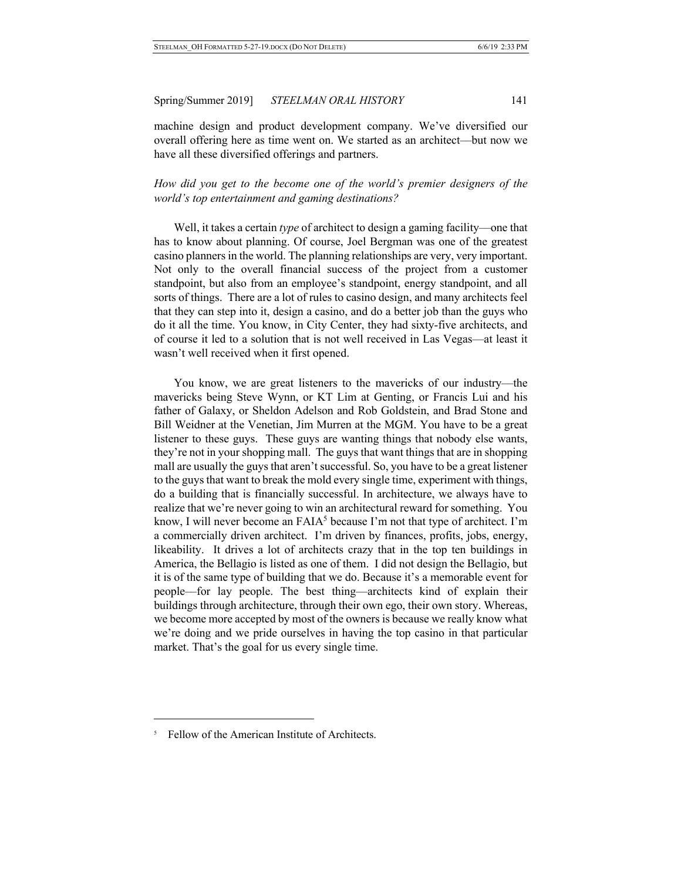machine design and product development company. We've diversified our overall offering here as time went on. We started as an architect––but now we have all these diversified offerings and partners.

*How did you get to the become one of the world's premier designers of the world's top entertainment and gaming destinations?*

Well, it takes a certain *type* of architect to design a gaming facility—one that has to know about planning. Of course, Joel Bergman was one of the greatest casino planners in the world. The planning relationships are very, very important. Not only to the overall financial success of the project from a customer standpoint, but also from an employee's standpoint, energy standpoint, and all sorts of things. There are a lot of rules to casino design, and many architects feel that they can step into it, design a casino, and do a better job than the guys who do it all the time. You know, in City Center, they had sixty-five architects, and of course it led to a solution that is not well received in Las Vegas––at least it wasn't well received when it first opened.

You know, we are great listeners to the mavericks of our industry––the mavericks being Steve Wynn, or KT Lim at Genting, or Francis Lui and his father of Galaxy, or Sheldon Adelson and Rob Goldstein, and Brad Stone and Bill Weidner at the Venetian, Jim Murren at the MGM. You have to be a great listener to these guys. These guys are wanting things that nobody else wants, they're not in your shopping mall. The guys that want things that are in shopping mall are usually the guys that aren't successful. So, you have to be a great listener to the guys that want to break the mold every single time, experiment with things, do a building that is financially successful. In architecture, we always have to realize that we're never going to win an architectural reward for something. You know, I will never become an  $F A I A<sup>5</sup>$  because I'm not that type of architect. I'm a commercially driven architect. I'm driven by finances, profits, jobs, energy, likeability. It drives a lot of architects crazy that in the top ten buildings in America, the Bellagio is listed as one of them. I did not design the Bellagio, but it is of the same type of building that we do. Because it's a memorable event for people––for lay people. The best thing––architects kind of explain their buildings through architecture, through their own ego, their own story. Whereas, we become more accepted by most of the owners is because we really know what we're doing and we pride ourselves in having the top casino in that particular market. That's the goal for us every single time.

<sup>&</sup>lt;sup>5</sup> Fellow of the American Institute of Architects.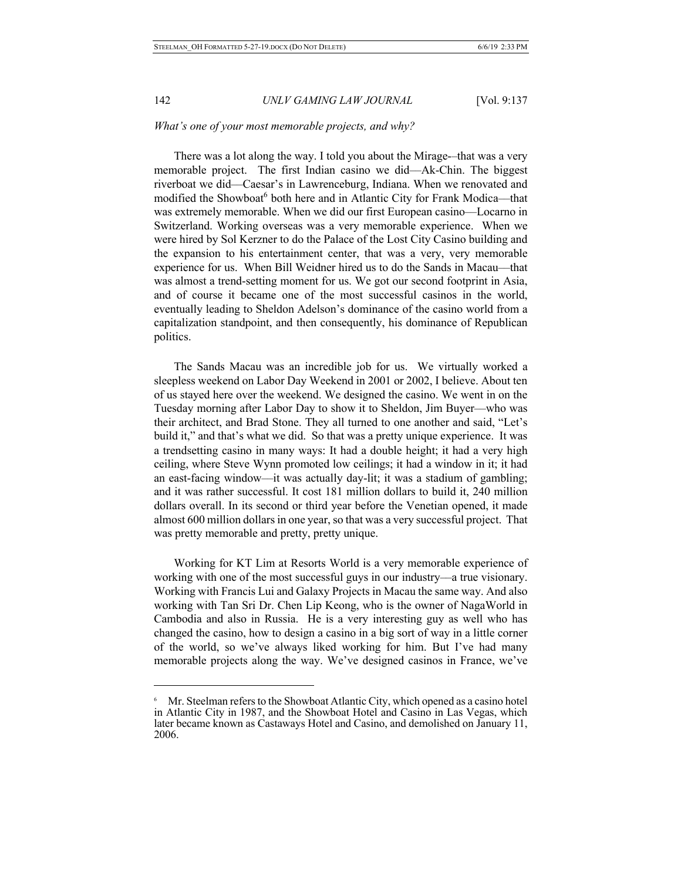$\overline{a}$ 

## 142 *UNLV GAMING LAW JOURNAL* [Vol. 9:137

## *What's one of your most memorable projects, and why?*

There was a lot along the way. I told you about the Mirage-–that was a very memorable project. The first Indian casino we did––Ak-Chin. The biggest riverboat we did––Caesar's in Lawrenceburg, Indiana. When we renovated and modified the Showboat<sup>6</sup> both here and in Atlantic City for Frank Modica—that was extremely memorable. When we did our first European casino––Locarno in Switzerland. Working overseas was a very memorable experience. When we were hired by Sol Kerzner to do the Palace of the Lost City Casino building and the expansion to his entertainment center, that was a very, very memorable experience for us. When Bill Weidner hired us to do the Sands in Macau––that was almost a trend-setting moment for us. We got our second footprint in Asia, and of course it became one of the most successful casinos in the world, eventually leading to Sheldon Adelson's dominance of the casino world from a capitalization standpoint, and then consequently, his dominance of Republican politics.

The Sands Macau was an incredible job for us. We virtually worked a sleepless weekend on Labor Day Weekend in 2001 or 2002, I believe. About ten of us stayed here over the weekend. We designed the casino. We went in on the Tuesday morning after Labor Day to show it to Sheldon, Jim Buyer––who was their architect, and Brad Stone. They all turned to one another and said, "Let's build it," and that's what we did. So that was a pretty unique experience. It was a trendsetting casino in many ways: It had a double height; it had a very high ceiling, where Steve Wynn promoted low ceilings; it had a window in it; it had an east-facing window––it was actually day-lit; it was a stadium of gambling; and it was rather successful. It cost 181 million dollars to build it, 240 million dollars overall. In its second or third year before the Venetian opened, it made almost 600 million dollars in one year, so that was a very successful project. That was pretty memorable and pretty, pretty unique.

Working for KT Lim at Resorts World is a very memorable experience of working with one of the most successful guys in our industry––a true visionary. Working with Francis Lui and Galaxy Projects in Macau the same way. And also working with Tan Sri Dr. Chen Lip Keong, who is the owner of NagaWorld in Cambodia and also in Russia. He is a very interesting guy as well who has changed the casino, how to design a casino in a big sort of way in a little corner of the world, so we've always liked working for him. But I've had many memorable projects along the way. We've designed casinos in France, we've

Mr. Steelman refers to the Showboat Atlantic City, which opened as a casino hotel in Atlantic City in 1987, and the Showboat Hotel and Casino in Las Vegas, which later became known as Castaways Hotel and Casino, and demolished on January 11, 2006.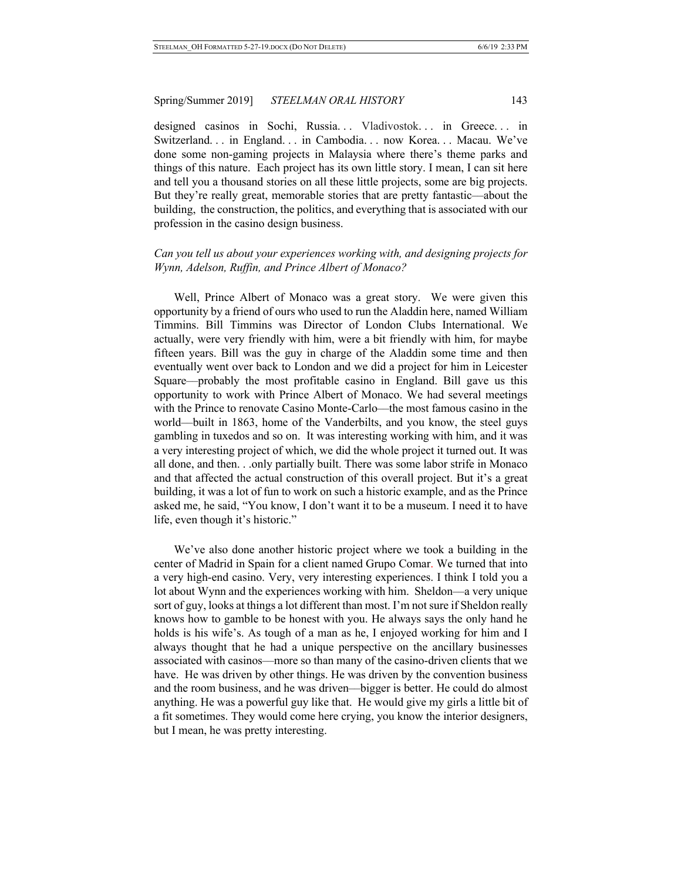designed casinos in Sochi, Russia... Vladivostok... in Greece... in Switzerland. . . in England. . . in Cambodia. . . now Korea. . . Macau. We've done some non-gaming projects in Malaysia where there's theme parks and things of this nature. Each project has its own little story. I mean, I can sit here and tell you a thousand stories on all these little projects, some are big projects. But they're really great, memorable stories that are pretty fantastic––about the building, the construction, the politics, and everything that is associated with our profession in the casino design business.

## *Can you tell us about your experiences working with, and designing projects for Wynn, Adelson, Ruffin, and Prince Albert of Monaco?*

Well, Prince Albert of Monaco was a great story. We were given this opportunity by a friend of ours who used to run the Aladdin here, named William Timmins. Bill Timmins was Director of London Clubs International. We actually, were very friendly with him, were a bit friendly with him, for maybe fifteen years. Bill was the guy in charge of the Aladdin some time and then eventually went over back to London and we did a project for him in Leicester Square––probably the most profitable casino in England. Bill gave us this opportunity to work with Prince Albert of Monaco. We had several meetings with the Prince to renovate Casino Monte-Carlo––the most famous casino in the world––built in 1863, home of the Vanderbilts, and you know, the steel guys gambling in tuxedos and so on. It was interesting working with him, and it was a very interesting project of which, we did the whole project it turned out. It was all done, and then. . .only partially built. There was some labor strife in Monaco and that affected the actual construction of this overall project. But it's a great building, it was a lot of fun to work on such a historic example, and as the Prince asked me, he said, "You know, I don't want it to be a museum. I need it to have life, even though it's historic."

We've also done another historic project where we took a building in the center of Madrid in Spain for a client named Grupo Comar. We turned that into a very high-end casino. Very, very interesting experiences. I think I told you a lot about Wynn and the experiences working with him. Sheldon––a very unique sort of guy, looks at things a lot different than most. I'm not sure if Sheldon really knows how to gamble to be honest with you. He always says the only hand he holds is his wife's. As tough of a man as he, I enjoyed working for him and I always thought that he had a unique perspective on the ancillary businesses associated with casinos––more so than many of the casino-driven clients that we have. He was driven by other things. He was driven by the convention business and the room business, and he was driven––bigger is better. He could do almost anything. He was a powerful guy like that. He would give my girls a little bit of a fit sometimes. They would come here crying, you know the interior designers, but I mean, he was pretty interesting.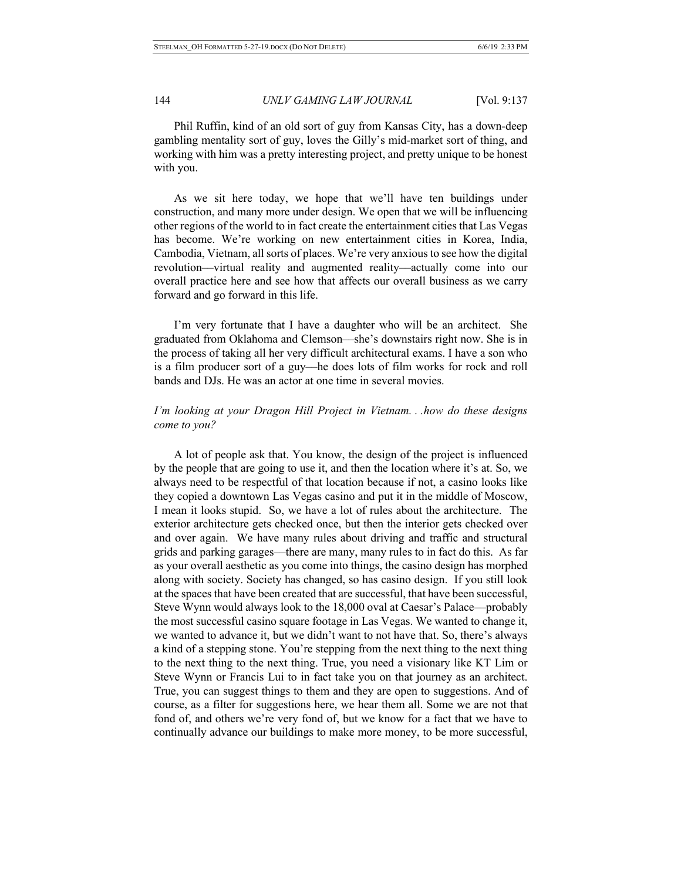## 144 *UNLV GAMING LAW JOURNAL* [Vol. 9:137

Phil Ruffin, kind of an old sort of guy from Kansas City, has a down-deep gambling mentality sort of guy, loves the Gilly's mid-market sort of thing, and working with him was a pretty interesting project, and pretty unique to be honest with you.

As we sit here today, we hope that we'll have ten buildings under construction, and many more under design. We open that we will be influencing other regions of the world to in fact create the entertainment cities that Las Vegas has become. We're working on new entertainment cities in Korea, India, Cambodia, Vietnam, all sorts of places. We're very anxious to see how the digital revolution––virtual reality and augmented reality––actually come into our overall practice here and see how that affects our overall business as we carry forward and go forward in this life.

I'm very fortunate that I have a daughter who will be an architect. She graduated from Oklahoma and Clemson––she's downstairs right now. She is in the process of taking all her very difficult architectural exams. I have a son who is a film producer sort of a guy––he does lots of film works for rock and roll bands and DJs. He was an actor at one time in several movies.

# *I'm looking at your Dragon Hill Project in Vietnam. . .how do these designs come to you?*

A lot of people ask that. You know, the design of the project is influenced by the people that are going to use it, and then the location where it's at. So, we always need to be respectful of that location because if not, a casino looks like they copied a downtown Las Vegas casino and put it in the middle of Moscow, I mean it looks stupid. So, we have a lot of rules about the architecture. The exterior architecture gets checked once, but then the interior gets checked over and over again. We have many rules about driving and traffic and structural grids and parking garages––there are many, many rules to in fact do this. As far as your overall aesthetic as you come into things, the casino design has morphed along with society. Society has changed, so has casino design. If you still look at the spaces that have been created that are successful, that have been successful, Steve Wynn would always look to the 18,000 oval at Caesar's Palace––probably the most successful casino square footage in Las Vegas. We wanted to change it, we wanted to advance it, but we didn't want to not have that. So, there's always a kind of a stepping stone. You're stepping from the next thing to the next thing to the next thing to the next thing. True, you need a visionary like KT Lim or Steve Wynn or Francis Lui to in fact take you on that journey as an architect. True, you can suggest things to them and they are open to suggestions. And of course, as a filter for suggestions here, we hear them all. Some we are not that fond of, and others we're very fond of, but we know for a fact that we have to continually advance our buildings to make more money, to be more successful,